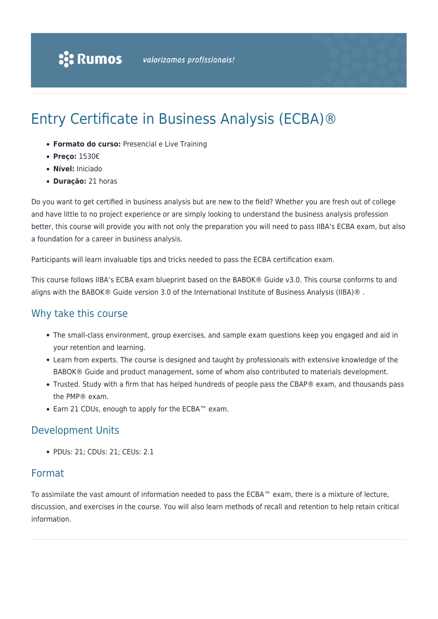# Entry Certificate in Business Analysis (ECBA)®

- **Formato do curso:** Presencial e Live Training
- **Preço:** 1530€
- **Nível:** Iniciado
- **Duração:** 21 horas

Do you want to get certified in business analysis but are new to the field? Whether you are fresh out of college and have little to no project experience or are simply looking to understand the business analysis profession better, this course will provide you with not only the preparation you will need to pass IIBA's ECBA exam, but also a foundation for a career in business analysis.

Participants will learn invaluable tips and tricks needed to pass the ECBA certification exam.

This course follows IIBA's ECBA exam blueprint based on the BABOK® Guide v3.0. This course conforms to and aligns with the BABOK® Guide version 3.0 of the International Institute of Business Analysis (IIBA)®.

## Why take this course

- The small-class environment, group exercises, and sample exam questions keep you engaged and aid in your retention and learning.
- Learn from experts. The course is designed and taught by professionals with extensive knowledge of the BABOK® Guide and product management, some of whom also contributed to materials development.
- Trusted. Study with a firm that has helped hundreds of people pass the CBAP® exam, and thousands pass the PMP® exam.
- Earn 21 CDUs, enough to apply for the ECBA™ exam.

## Development Units

• PDUs: 21; CDUs: 21; CEUs: 2.1

## Format

To assimilate the vast amount of information needed to pass the ECBA™ exam, there is a mixture of lecture, discussion, and exercises in the course. You will also learn methods of recall and retention to help retain critical information.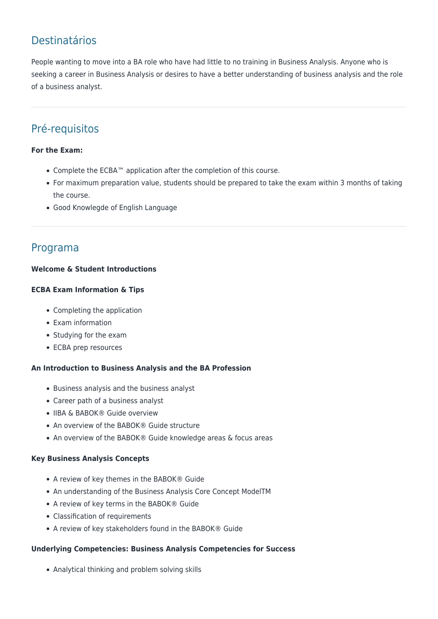## Destinatários

People wanting to move into a BA role who have had little to no training in Business Analysis. Anyone who is seeking a career in Business Analysis or desires to have a better understanding of business analysis and the role of a business analyst.

## Pré-requisitos

### **For the Exam:**

- Complete the ECBA™ application after the completion of this course.
- For maximum preparation value, students should be prepared to take the exam within 3 months of taking the course.
- Good Knowlegde of English Language

## Programa

### **Welcome & Student Introductions**

#### **ECBA Exam Information & Tips**

- Completing the application
- Exam information
- Studying for the exam
- ECBA prep resources

#### **An Introduction to Business Analysis and the BA Profession**

- Business analysis and the business analyst
- Career path of a business analyst
- IIBA & BABOK® Guide overview
- An overview of the BABOK® Guide structure
- An overview of the BABOK® Guide knowledge areas & focus areas

#### **Key Business Analysis Concepts**

- A review of key themes in the BABOK® Guide
- An understanding of the Business Analysis Core Concept ModelTM
- A review of key terms in the BABOK® Guide
- Classification of requirements
- A review of key stakeholders found in the BABOK® Guide

#### **Underlying Competencies: Business Analysis Competencies for Success**

Analytical thinking and problem solving skills